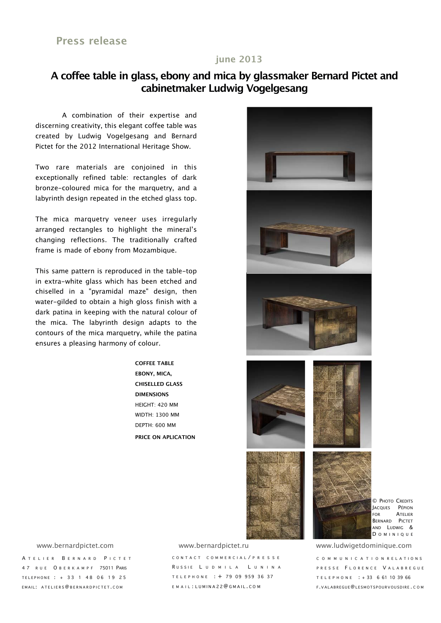#### **june 2013**

## **A coffee table in glass, ebony and mica by glassmaker Bernard Pictet and cabinetmaker Ludwig Vogelgesang**

A combination of their expertise and discerning creativity, this elegant coffee table was created by Ludwig Vogelgesang and Bernard Pictet for the 2012 International Heritage Show.

Two rare materials are conjoined in this exceptionally refined table: rectangles of dark bronze-coloured mica for the marquetry, and a labyrinth design repeated in the etched glass top.

The mica marquetry veneer uses irregularly arranged rectangles to highlight the mineral's changing reflections. The traditionally crafted frame is made of ebony from Mozambique.

This same pattern is reproduced in the table-top in extra-white glass which has been etched and chiselled in a "pyramidal maze" design, then water-gilded to obtain a high gloss finish with a dark patina in keeping with the natural colour of the mica. The labyrinth design adapts to the contours of the mica marquetry, while the patina ensures a pleasing harmony of colour.

> **COFFEE TABLE EBONY, MICA, CHISELLED GLASS DIMENSIONS** HEIGHT: 420 MM WIDTH: 1300 MM DEPTH: 600 MM **PRICE ON APLICATION**



© PHOTO CREDITS JACQUES PÉPION FOR ATELIER BERNARD PICTET AND LUDWIG & **DOMINIQUE** 

A TELIER BERNARD PICTET 47 RUE O BERKAMPF 75011 PARIS TELEPHONE : + 33 1 48 06 19 25 EMAIL: ATELIERS@BERNARDPICTET.COM

CONTACT COMMERCIAL / PRESSE R USSIE L UDMILA L UNINA TELEPHONE : + 79 09 959 36 37 EMAIL : LUMINA 22@ GMAIL.COM www.bernardpictet.com www.bernardpictet.ru www.ludwigetdominique.com

COMMUNICATION R ELATIONS PRESSE FLORENCE VALABREGUE TELEPHONE : + 33 6 61 10 39 66 F.VALABREGUE@LESMOTSPOURVOUSDIR E . COM